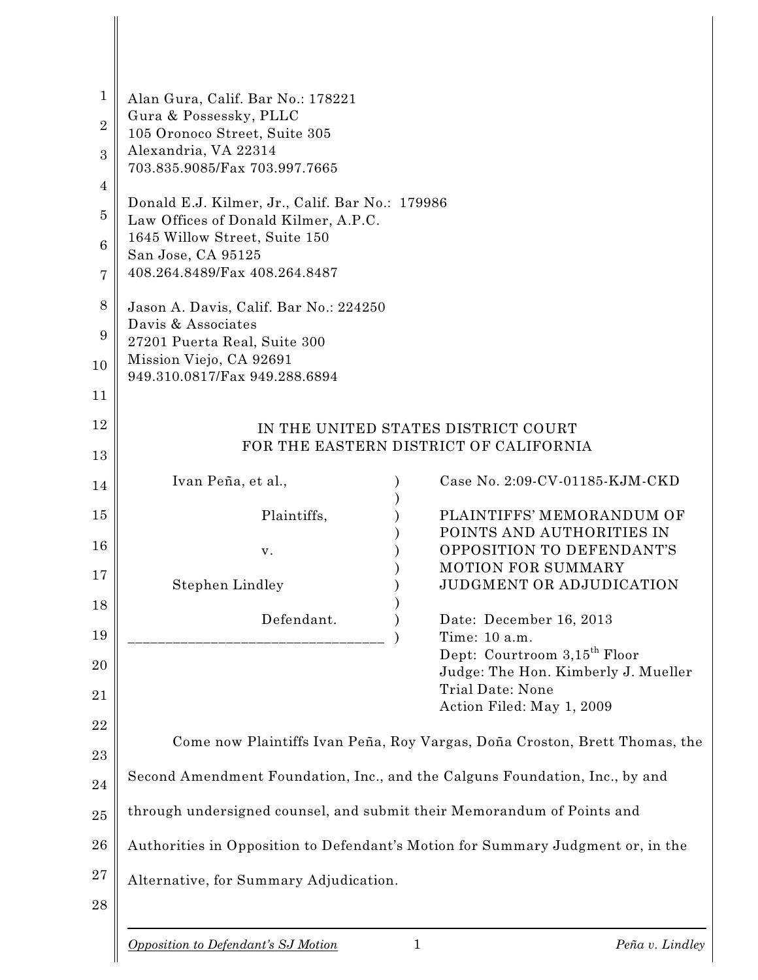| $\mathbf{1}$<br>$\overline{2}$<br>3<br>4<br>5<br>$6\phantom{1}6$<br>7<br>8<br>9<br>10<br>11 | Alan Gura, Calif. Bar No.: 178221<br>Gura & Possessky, PLLC<br>105 Oronoco Street, Suite 305<br>Alexandria, VA 22314<br>703.835.9085/Fax 703.997.7665<br>Donald E.J. Kilmer, Jr., Calif. Bar No.: 179986<br>Law Offices of Donald Kilmer, A.P.C.<br>1645 Willow Street, Suite 150<br>San Jose, CA 95125<br>408.264.8489/Fax 408.264.8487<br>Jason A. Davis, Calif. Bar No.: 224250<br>Davis & Associates<br>27201 Puerta Real, Suite 300<br>Mission Viejo, CA 92691<br>949.310.0817/Fax 949.288.6894 |   |                                                                                                                  |
|---------------------------------------------------------------------------------------------|------------------------------------------------------------------------------------------------------------------------------------------------------------------------------------------------------------------------------------------------------------------------------------------------------------------------------------------------------------------------------------------------------------------------------------------------------------------------------------------------------|---|------------------------------------------------------------------------------------------------------------------|
| 12<br>13                                                                                    | IN THE UNITED STATES DISTRICT COURT<br>FOR THE EASTERN DISTRICT OF CALIFORNIA                                                                                                                                                                                                                                                                                                                                                                                                                        |   |                                                                                                                  |
| 14                                                                                          | Ivan Peña, et al.,                                                                                                                                                                                                                                                                                                                                                                                                                                                                                   |   | Case No. 2:09-CV-01185-KJM-CKD                                                                                   |
| 15<br>16<br>17                                                                              | Plaintiffs,<br>v.                                                                                                                                                                                                                                                                                                                                                                                                                                                                                    |   | PLAINTIFFS' MEMORANDUM OF<br>POINTS AND AUTHORITIES IN<br>OPPOSITION TO DEFENDANT'S<br><b>MOTION FOR SUMMARY</b> |
| 18<br>19<br>20                                                                              | Stephen Lindley<br>Defendant.                                                                                                                                                                                                                                                                                                                                                                                                                                                                        |   | JUDGMENT OR ADJUDICATION<br>Date: December 16, 2013<br>Time: 10 a.m.<br>Dept: Courtroom 3,15 <sup>th</sup> Floor |
| 21                                                                                          |                                                                                                                                                                                                                                                                                                                                                                                                                                                                                                      |   | Judge: The Hon. Kimberly J. Mueller<br><b>Trial Date: None</b><br>Action Filed: May 1, 2009                      |
| 22                                                                                          | Come now Plaintiffs Ivan Peña, Roy Vargas, Doña Croston, Brett Thomas, the                                                                                                                                                                                                                                                                                                                                                                                                                           |   |                                                                                                                  |
| 23<br>24                                                                                    | Second Amendment Foundation, Inc., and the Calguns Foundation, Inc., by and                                                                                                                                                                                                                                                                                                                                                                                                                          |   |                                                                                                                  |
| 25                                                                                          | through undersigned counsel, and submit their Memorandum of Points and                                                                                                                                                                                                                                                                                                                                                                                                                               |   |                                                                                                                  |
| 26                                                                                          | Authorities in Opposition to Defendant's Motion for Summary Judgment or, in the                                                                                                                                                                                                                                                                                                                                                                                                                      |   |                                                                                                                  |
| $27\,$<br>28                                                                                | Alternative, for Summary Adjudication.                                                                                                                                                                                                                                                                                                                                                                                                                                                               |   |                                                                                                                  |
|                                                                                             | Opposition to Defendant's SJ Motion                                                                                                                                                                                                                                                                                                                                                                                                                                                                  | 1 | Peña v. Lindley                                                                                                  |

 $\mathbb I$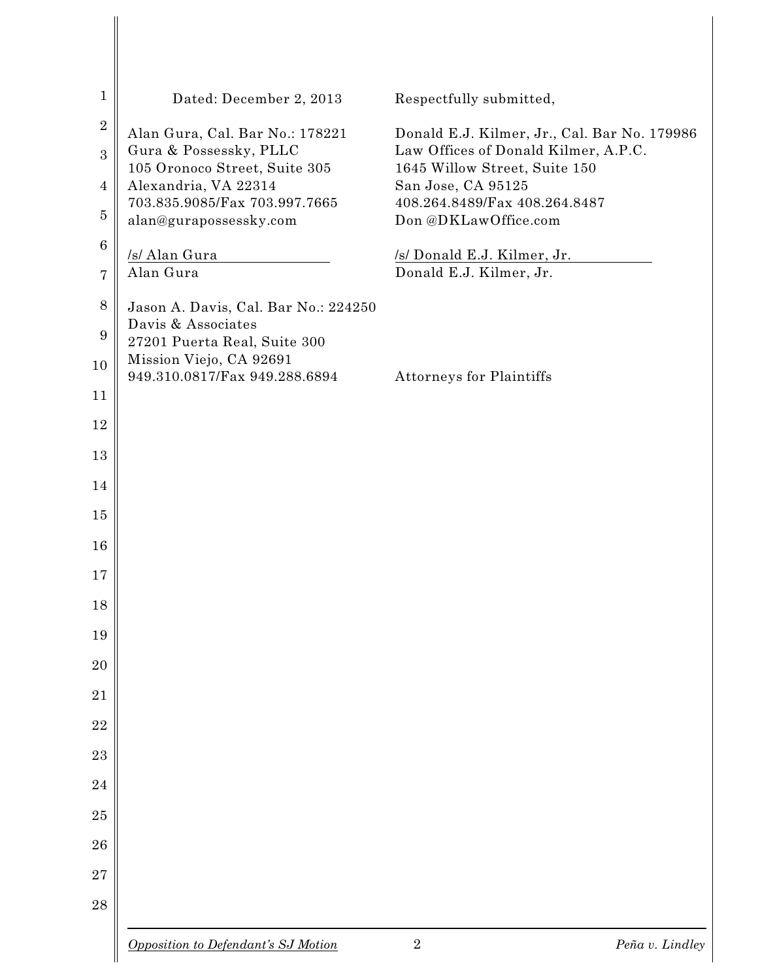| $\mathbf 1$      | Dated: December 2, 2013                                    | Respectfully submitted,                                                              |                 |
|------------------|------------------------------------------------------------|--------------------------------------------------------------------------------------|-----------------|
| $\sqrt{2}$<br>3  | Alan Gura, Cal. Bar No.: 178221<br>Gura & Possessky, PLLC  | Donald E.J. Kilmer, Jr., Cal. Bar No. 179986<br>Law Offices of Donald Kilmer, A.P.C. |                 |
| 4                | 105 Oronoco Street, Suite 305<br>Alexandria, VA 22314      | 1645 Willow Street, Suite 150<br>San Jose, CA 95125                                  |                 |
| $\overline{5}$   | 703.835.9085/Fax 703.997.7665<br>alan@gurapossessky.com    | 408.264.8489/Fax 408.264.8487<br>Don @DKLawOffice.com                                |                 |
| $\boldsymbol{6}$ | /s/ Alan Gura                                              | /s/ Donald E.J. Kilmer, Jr.                                                          |                 |
| 7                | Alan Gura                                                  | Donald E.J. Kilmer, Jr.                                                              |                 |
| $8\,$<br>9       | Jason A. Davis, Cal. Bar No.: 224250<br>Davis & Associates |                                                                                      |                 |
| 10               | 27201 Puerta Real, Suite 300<br>Mission Viejo, CA 92691    |                                                                                      |                 |
| 11               | 949.310.0817/Fax 949.288.6894                              | <b>Attorneys for Plaintiffs</b>                                                      |                 |
| 12               |                                                            |                                                                                      |                 |
| 13               |                                                            |                                                                                      |                 |
| 14               |                                                            |                                                                                      |                 |
| 15               |                                                            |                                                                                      |                 |
| 16               |                                                            |                                                                                      |                 |
| 17               |                                                            |                                                                                      |                 |
| 18               |                                                            |                                                                                      |                 |
| 19               |                                                            |                                                                                      |                 |
| 20               |                                                            |                                                                                      |                 |
| 21               |                                                            |                                                                                      |                 |
| 22               |                                                            |                                                                                      |                 |
| 23               |                                                            |                                                                                      |                 |
| 24               |                                                            |                                                                                      |                 |
| 25               |                                                            |                                                                                      |                 |
| 26               |                                                            |                                                                                      |                 |
| 27               |                                                            |                                                                                      |                 |
| 28               |                                                            |                                                                                      |                 |
|                  | Opposition to Defendant's SJ Motion                        | $\overline{2}$                                                                       | Peña v. Lindley |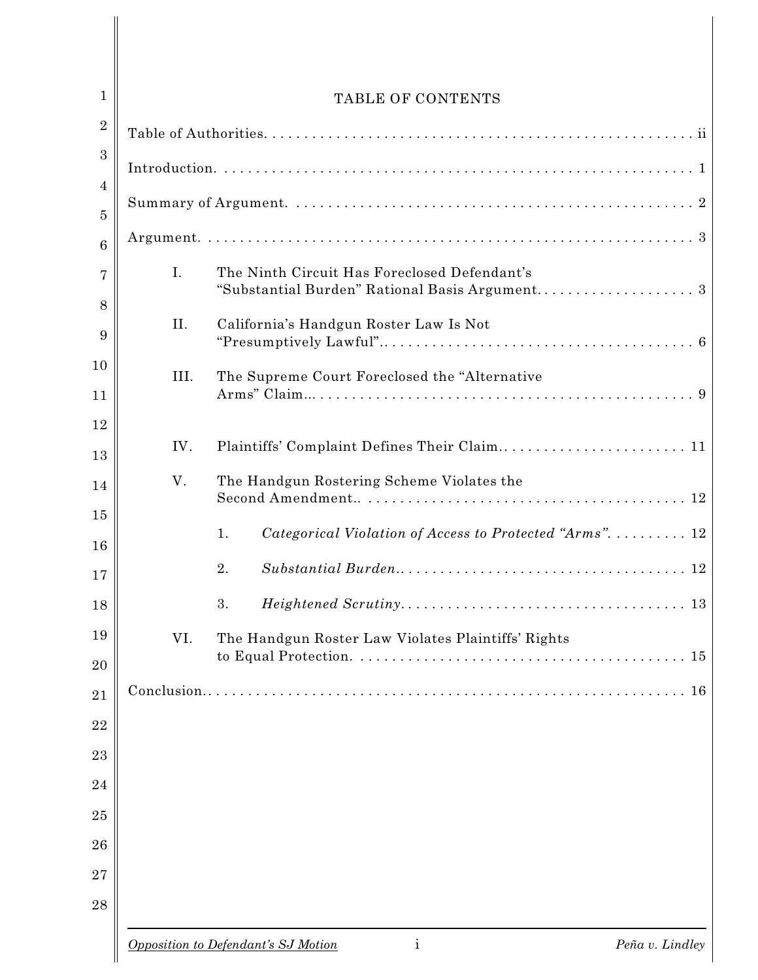| $\mathbf{1}$        |      | TABLE OF CONTENTS                                                                              |  |
|---------------------|------|------------------------------------------------------------------------------------------------|--|
| $\,2$               |      |                                                                                                |  |
| $\boldsymbol{3}$    |      |                                                                                                |  |
| 4<br>$\overline{5}$ |      |                                                                                                |  |
| $6\phantom{1}6$     |      |                                                                                                |  |
| 7                   | I.   | The Ninth Circuit Has Foreclosed Defendant's<br>"Substantial Burden" Rational Basis Argument 3 |  |
| 8<br>9              | II.  | California's Handgun Roster Law Is Not                                                         |  |
| 10<br>11            | III. | The Supreme Court Foreclosed the "Alternative                                                  |  |
| 12<br>13            | IV.  | Plaintiffs' Complaint Defines Their Claim 11                                                   |  |
| 14<br>15            | V.   | The Handgun Rostering Scheme Violates the                                                      |  |
| 16                  |      | Categorical Violation of Access to Protected "Arms".  12<br>1.                                 |  |
| 17                  |      | 2.                                                                                             |  |
| 18                  |      | 3.                                                                                             |  |
| 19<br>20            | VI.  | The Handgun Roster Law Violates Plaintiffs' Rights<br>15                                       |  |
| $\overline{21}$     |      | 16                                                                                             |  |
| 22                  |      |                                                                                                |  |
| 23                  |      |                                                                                                |  |
| 24                  |      |                                                                                                |  |
| 25                  |      |                                                                                                |  |
| 26                  |      |                                                                                                |  |
| 27<br>28            |      |                                                                                                |  |
|                     |      | $\mathbf{i}$<br>Opposition to Defendant's SJ Motion<br>Peña v. Lindley                         |  |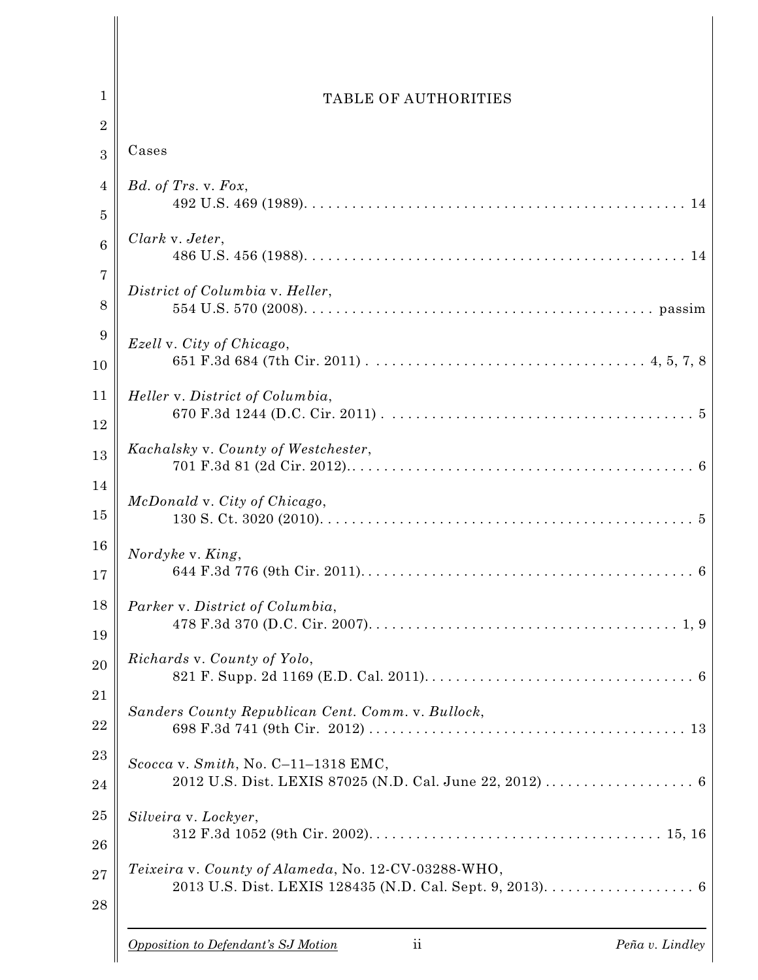| $\mathbf{1}$     | TABLE OF AUTHORITIES                                                              |
|------------------|-----------------------------------------------------------------------------------|
| $\overline{2}$   |                                                                                   |
| 3                | Cases                                                                             |
| $\overline{4}$   | Bd. of Trs. v. Fox,                                                               |
| $\overline{5}$   |                                                                                   |
| $\boldsymbol{6}$ | Clark v. Jeter,                                                                   |
| $\overline{7}$   | District of Columbia v. Heller,                                                   |
| 8                |                                                                                   |
| 9                | Ezell v. City of Chicago,                                                         |
| 10               |                                                                                   |
| 11               | Heller v. District of Columbia,                                                   |
| 12               |                                                                                   |
| 13               | Kachalsky v. County of Westchester,                                               |
| 14               | McDonald v. City of Chicago,                                                      |
| 15               |                                                                                   |
| 16               | Nordyke v. King,                                                                  |
| 17               |                                                                                   |
| 18               | Parker v. District of Columbia,                                                   |
| 19               |                                                                                   |
| 20               | Richards v. County of Yolo,                                                       |
| 21               |                                                                                   |
| 22               | Sanders County Republican Cent. Comm. v. Bullock,                                 |
| $^{23}$          | Scocca v. Smith, No. C-11-1318 EMC,                                               |
| 24               |                                                                                   |
| 25               | Silveira v. Lockyer,                                                              |
| 26               |                                                                                   |
| $27\,$           | Teixeira v. County of Alameda, No. 12-CV-03288-WHO,                               |
| 28               |                                                                                   |
|                  | $\overline{\mathbf{u}}$<br>Opposition to Defendant's SJ Motion<br>Peña v. Lindley |

 $\overline{\phantom{a}}$  $\overline{\phantom{a}}$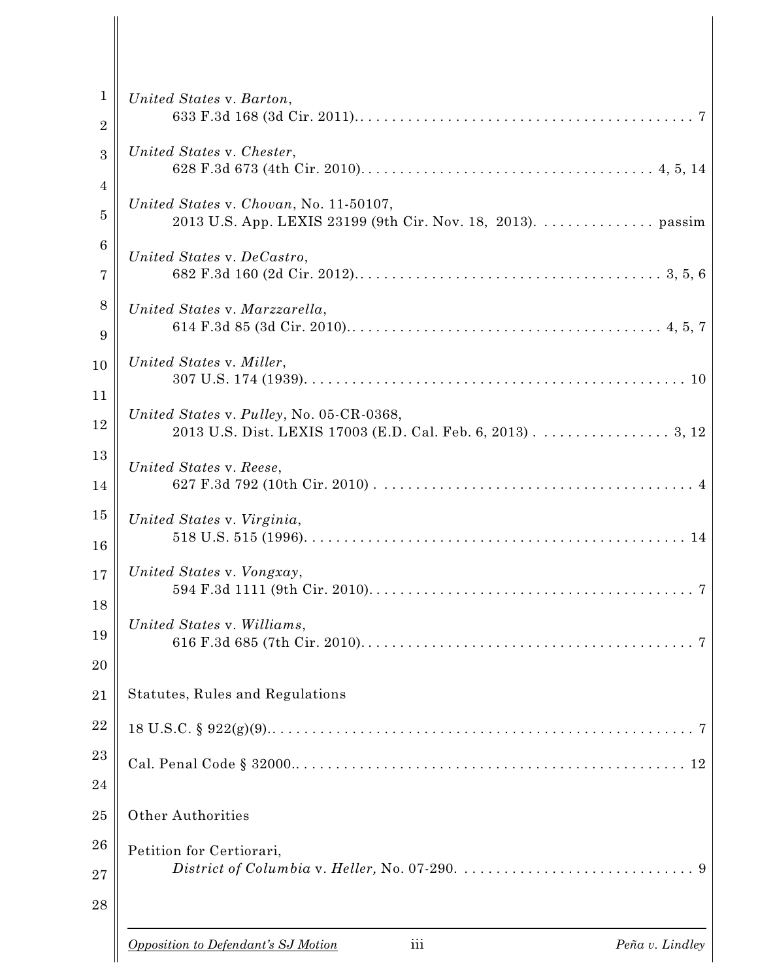| $\mathbf{1}$<br>$\overline{2}$   | United States v. Barton,                                                                               |
|----------------------------------|--------------------------------------------------------------------------------------------------------|
| 3                                | United States v. Chester,                                                                              |
| $\overline{4}$<br>$\overline{5}$ | United States v. Chovan, No. 11-50107,<br>2013 U.S. App. LEXIS 23199 (9th Cir. Nov. 18, 2013). passim  |
| $6\phantom{.}6$<br>7             | United States v. DeCastro,                                                                             |
| 8<br>9                           | United States v. Marzzarella,                                                                          |
| 10<br>11                         | United States v. Miller,                                                                               |
| 12                               | United States v. Pulley, No. 05-CR-0368,<br>2013 U.S. Dist. LEXIS 17003 (E.D. Cal. Feb. 6, 2013) 3, 12 |
| 13<br>14                         | United States v. Reese,                                                                                |
| 15<br>16                         | United States v. Virginia,                                                                             |
| 17<br>18                         | United States v. Vongxay,                                                                              |
| 19                               | United States v. Williams,<br>7                                                                        |
| 20<br>21                         | Statutes, Rules and Regulations                                                                        |
| 22                               |                                                                                                        |
| 23<br>24                         |                                                                                                        |
| 25                               | <b>Other Authorities</b>                                                                               |
| 26<br>27<br>28                   | Petition for Certiorari,                                                                               |
|                                  | iii<br>Opposition to Defendant's SJ Motion<br>Peña v. Lindley                                          |

 $\overline{\phantom{a}}$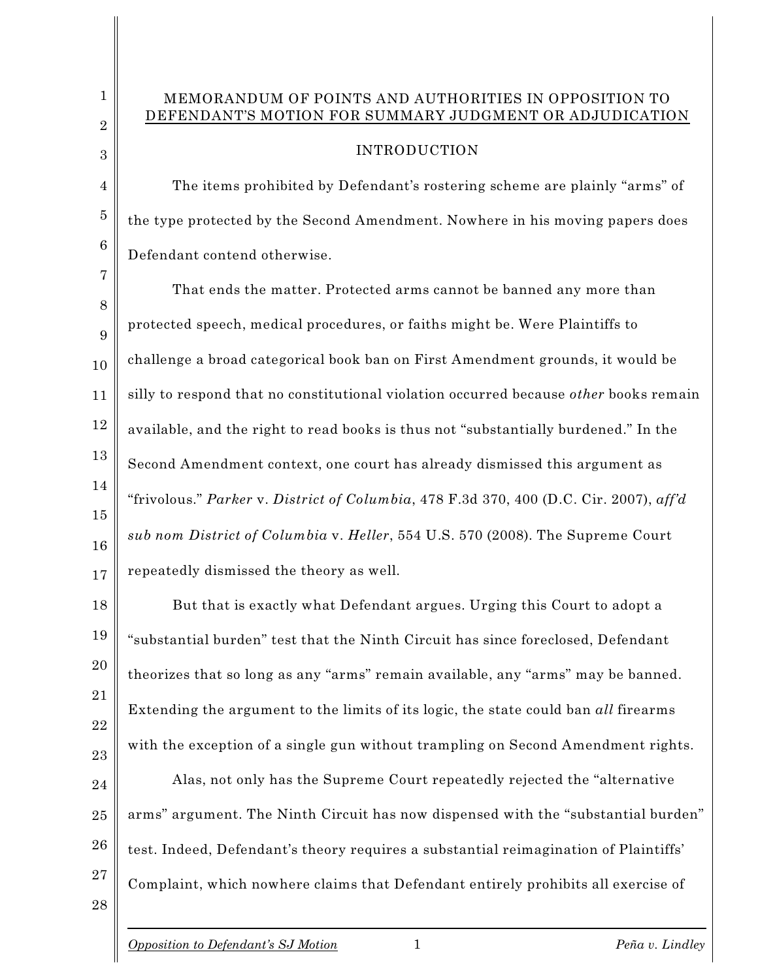## MEMORANDUM OF POINTS AND AUTHORITIES IN OPPOSITION TO DEFENDANT'S MOTION FOR SUMMARY JUDGMENT OR ADJUDICATION

## INTRODUCTION

The items prohibited by Defendant's rostering scheme are plainly "arms" of the type protected by the Second Amendment. Nowhere in his moving papers does Defendant contend otherwise.

7 8 9 10 11 12 13 14 15 16 17 That ends the matter. Protected arms cannot be banned any more than protected speech, medical procedures, or faiths might be. Were Plaintiffs to challenge a broad categorical book ban on First Amendment grounds, it would be silly to respond that no constitutional violation occurred because *other* books remain available, and the right to read books is thus not "substantially burdened." In the Second Amendment context, one court has already dismissed this argument as "frivolous." *Parker* v. *District of Columbia*, 478 F.3d 370, 400 (D.C. Cir. 2007), *aff'd sub nom District of Columbia* v. *Heller*, 554 U.S. 570 (2008). The Supreme Court repeatedly dismissed the theory as well.

18 19 20 21 22 23 But that is exactly what Defendant argues. Urging this Court to adopt a "substantial burden" test that the Ninth Circuit has since foreclosed, Defendant theorizes that so long as any "arms" remain available, any "arms" may be banned. Extending the argument to the limits of its logic, the state could ban *all* firearms with the exception of a single gun without trampling on Second Amendment rights.

24 25 26 27 Alas, not only has the Supreme Court repeatedly rejected the "alternative arms" argument. The Ninth Circuit has now dispensed with the "substantial burden" test. Indeed, Defendant's theory requires a substantial reimagination of Plaintiffs' Complaint, which nowhere claims that Defendant entirely prohibits all exercise of

1

2

3

4

5

6

28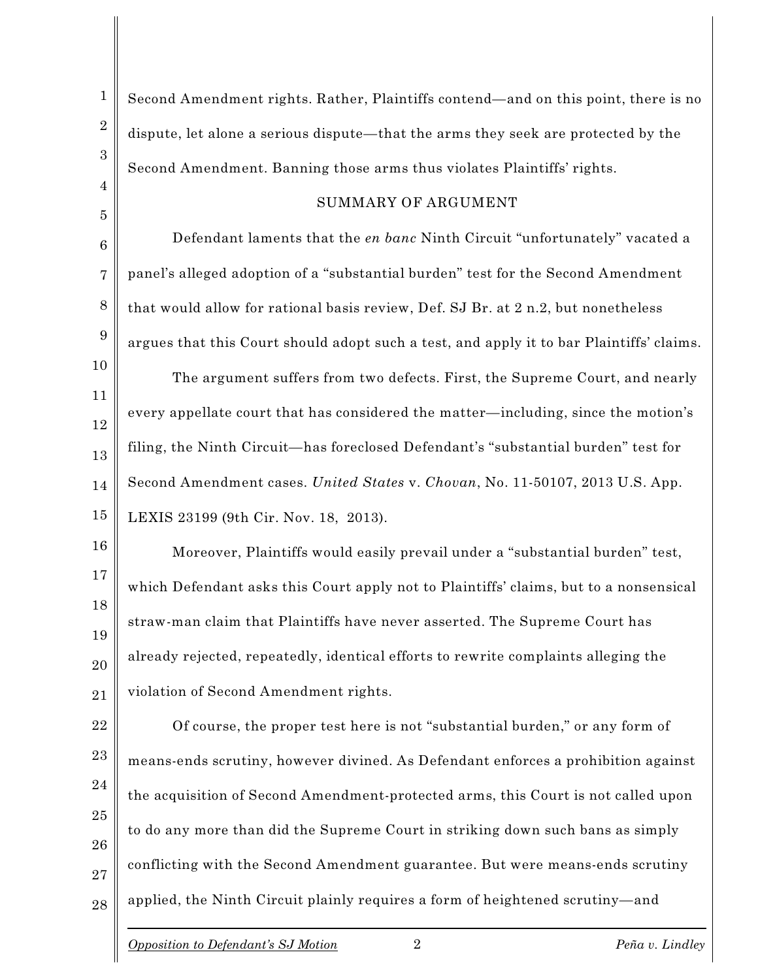Second Amendment rights. Rather, Plaintiffs contend—and on this point, there is no dispute, let alone a serious dispute—that the arms they seek are protected by the Second Amendment. Banning those arms thus violates Plaintiffs' rights.

#### SUMMARY OF ARGUMENT

Defendant laments that the *en banc* Ninth Circuit "unfortunately" vacated a panel's alleged adoption of a "substantial burden" test for the Second Amendment that would allow for rational basis review, Def. SJ Br. at 2 n.2, but nonetheless argues that this Court should adopt such a test, and apply it to bar Plaintiffs' claims. The argument suffers from two defects. First, the Supreme Court, and nearly every appellate court that has considered the matter—including, since the motion's filing, the Ninth Circuit—has foreclosed Defendant's "substantial burden" test for

Second Amendment cases. *United States* v. *Chovan*, No. 11-50107, 2013 U.S. App.

15 LEXIS 23199 (9th Cir. Nov. 18, 2013).

21 Moreover, Plaintiffs would easily prevail under a "substantial burden" test, which Defendant asks this Court apply not to Plaintiffs' claims, but to a nonsensical straw-man claim that Plaintiffs have never asserted. The Supreme Court has already rejected, repeatedly, identical efforts to rewrite complaints alleging the violation of Second Amendment rights.

22 23 24 25 26 27 28 Of course, the proper test here is not "substantial burden," or any form of means-ends scrutiny, however divined. As Defendant enforces a prohibition against the acquisition of Second Amendment-protected arms, this Court is not called upon to do any more than did the Supreme Court in striking down such bans as simply conflicting with the Second Amendment guarantee. But were means-ends scrutiny applied, the Ninth Circuit plainly requires a form of heightened scrutiny—and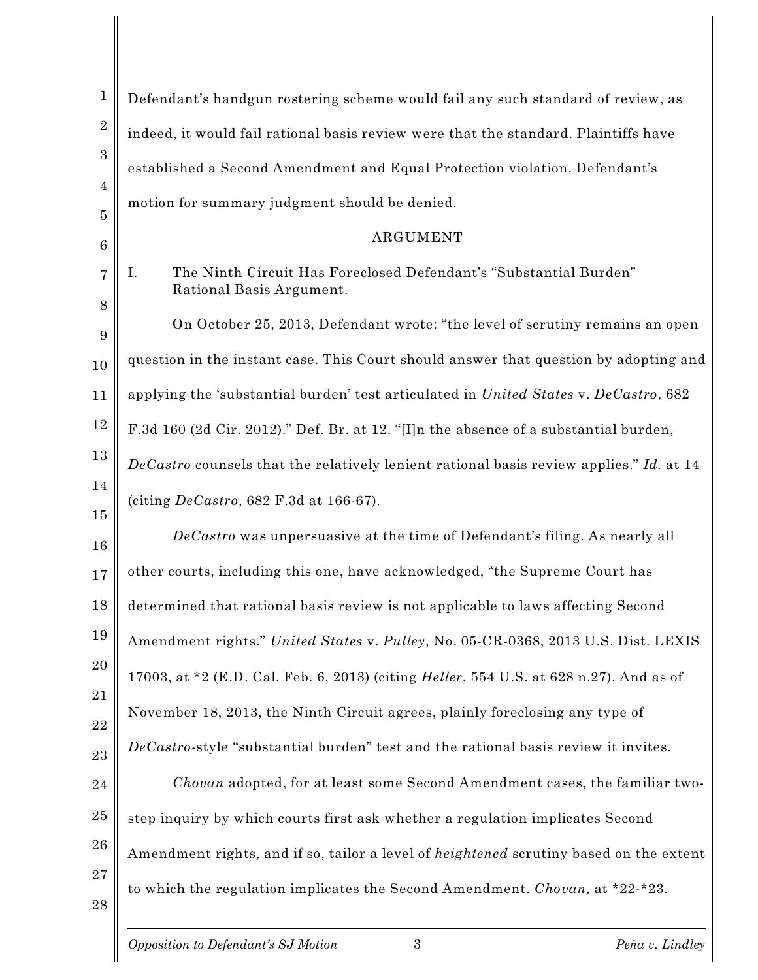| $\mathbf 1$          | Defendant's handgun rostering scheme would fail any such standard of review, as                |
|----------------------|------------------------------------------------------------------------------------------------|
| $\sqrt{2}$           | indeed, it would fail rational basis review were that the standard. Plaintiffs have            |
| $\boldsymbol{3}$     | established a Second Amendment and Equal Protection violation. Defendant's                     |
| $\overline{4}$       | motion for summary judgment should be denied.                                                  |
| 5<br>$6\phantom{.}6$ | ARGUMENT                                                                                       |
| 7                    | The Ninth Circuit Has Foreclosed Defendant's "Substantial Burden"<br>Ι.                        |
| 8                    | Rational Basis Argument.                                                                       |
| 9                    | On October 25, 2013, Defendant wrote: "the level of scrutiny remains an open                   |
| 10                   | question in the instant case. This Court should answer that question by adopting and           |
| 11                   | applying the 'substantial burden' test articulated in United States v. DeCastro, 682           |
| 12                   | F.3d 160 (2d Cir. 2012)." Def. Br. at 12. "[I]n the absence of a substantial burden,           |
| 13                   | DeCastro counsels that the relatively lenient rational basis review applies." Id. at 14        |
| 14                   | (citing $De Castro$ , 682 F.3d at 166-67).                                                     |
| 15                   | DeCastro was unpersuasive at the time of Defendant's filing. As nearly all                     |
| 16                   | other courts, including this one, have acknowledged, "the Supreme Court has                    |
| 17                   |                                                                                                |
| 18                   | determined that rational basis review is not applicable to laws affecting Second               |
| 19                   | Amendment rights." United States v. Pulley, No. 05-CR-0368, 2013 U.S. Dist. LEXIS              |
| 20<br>21             | 17003, at *2 (E.D. Cal. Feb. 6, 2013) (citing <i>Heller</i> , 554 U.S. at 628 n.27). And as of |
| 22                   | November 18, 2013, the Ninth Circuit agrees, plainly foreclosing any type of                   |
| 23                   | DeCastro-style "substantial burden" test and the rational basis review it invites.             |
| 24                   | Chovan adopted, for at least some Second Amendment cases, the familiar two-                    |
| 25                   | step inquiry by which courts first ask whether a regulation implicates Second                  |
| 26                   | Amendment rights, and if so, tailor a level of <i>heightened</i> scrutiny based on the extent  |
| 27                   |                                                                                                |
| 28                   | to which the regulation implicates the Second Amendment. Chovan, at *22-*23.                   |
|                      | 3<br>Opposition to Defendant's SJ Motion<br>Peña v. Lindley                                    |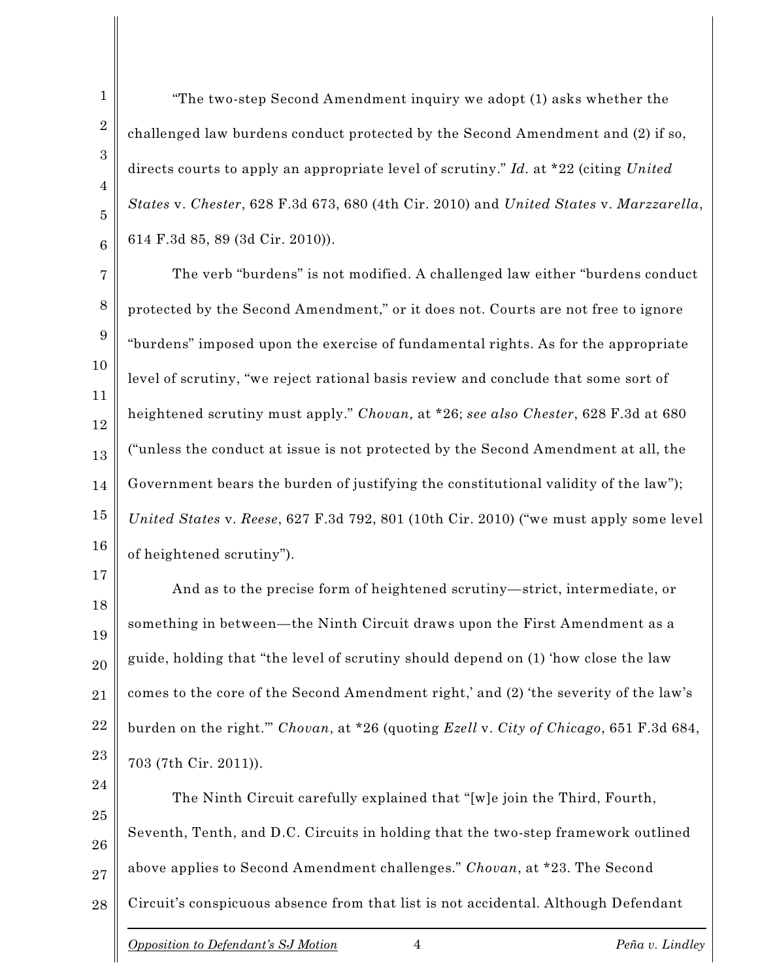"The two-step Second Amendment inquiry we adopt (1) asks whether the challenged law burdens conduct protected by the Second Amendment and (2) if so, directs courts to apply an appropriate level of scrutiny." *Id.* at \*22 (citing *United States* v. *Chester*, 628 F.3d 673, 680 (4th Cir. 2010) and *United States* v. *Marzzarella*, 614 F.3d 85, 89 (3d Cir. 2010)).

7 8 9 The verb "burdens" is not modified. A challenged law either "burdens conduct protected by the Second Amendment," or it does not. Courts are not free to ignore "burdens" imposed upon the exercise of fundamental rights. As for the appropriate level of scrutiny, "we reject rational basis review and conclude that some sort of heightened scrutiny must apply." *Chovan,* at \*26; *see also Chester*, 628 F.3d at 680 ("unless the conduct at issue is not protected by the Second Amendment at all, the Government bears the burden of justifying the constitutional validity of the law"); *United States* v. *Reese*, 627 F.3d 792, 801 (10th Cir. 2010) ("we must apply some level of heightened scrutiny").

17 18 19 20 21 22 23 And as to the precise form of heightened scrutiny—strict, intermediate, or something in between—the Ninth Circuit draws upon the First Amendment as a guide, holding that "the level of scrutiny should depend on (1) 'how close the law comes to the core of the Second Amendment right,' and (2) 'the severity of the law's burden on the right.'" *Chovan*, at \*26 (quoting *Ezell* v. *City of Chicago*, 651 F.3d 684, 703 (7th Cir. 2011)).

24 25 26 27 28 The Ninth Circuit carefully explained that "[w]e join the Third, Fourth, Seventh, Tenth, and D.C. Circuits in holding that the two-step framework outlined above applies to Second Amendment challenges." *Chovan*, at \*23. The Second Circuit's conspicuous absence from that list is not accidental. Although Defendant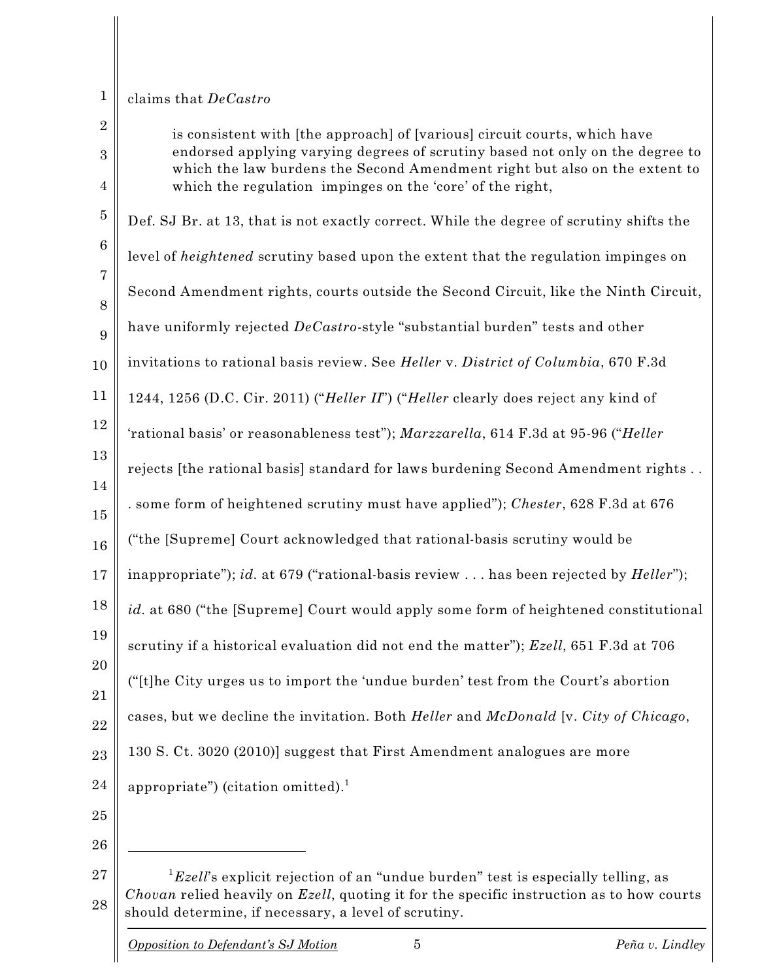# 1 2

### claims that *DeCastro*

3 4 5 6 7 8 9 10 11 12 13 14 15 16 17 18 19 20 21 22 23 24 25 26 is consistent with [the approach] of [various] circuit courts, which have endorsed applying varying degrees of scrutiny based not only on the degree to which the law burdens the Second Amendment right but also on the extent to which the regulation impinges on the 'core' of the right, Def. SJ Br. at 13, that is not exactly correct. While the degree of scrutiny shifts the level of *heightened* scrutiny based upon the extent that the regulation impinges on Second Amendment rights, courts outside the Second Circuit, like the Ninth Circuit, have uniformly rejected *DeCastro*-style "substantial burden" tests and other invitations to rational basis review. See *Heller* v. *District of Columbia*, 670 F.3d 1244, 1256 (D.C. Cir. 2011) ("*Heller II*") ("*Heller* clearly does reject any kind of 'rational basis' or reasonableness test"); *Marzzarella*, 614 F.3d at 95-96 ("*Heller* rejects [the rational basis] standard for laws burdening Second Amendment rights . . . some form of heightened scrutiny must have applied"); *Chester*, 628 F.3d at 676 ("the [Supreme] Court acknowledged that rational-basis scrutiny would be inappropriate"); *id.* at 679 ("rational-basis review . . . has been rejected by *Heller*"); *id.* at 680 ("the [Supreme] Court would apply some form of heightened constitutional scrutiny if a historical evaluation did not end the matter"); *Ezell*, 651 F.3d at 706 ("[t]he City urges us to import the 'undue burden' test from the Court's abortion cases, but we decline the invitation. Both *Heller* and *McDonald* [v. *City of Chicago*, 130 S. Ct. 3020 (2010)] suggest that First Amendment analogues are more appropriate") (citation omitted). 1

<sup>27</sup> 28  ${}^{1}$ *Ezell*'s explicit rejection of an "undue burden" test is especially telling, as *Chovan* relied heavily on *Ezell*, quoting it for the specific instruction as to how courts should determine, if necessary, a level of scrutiny.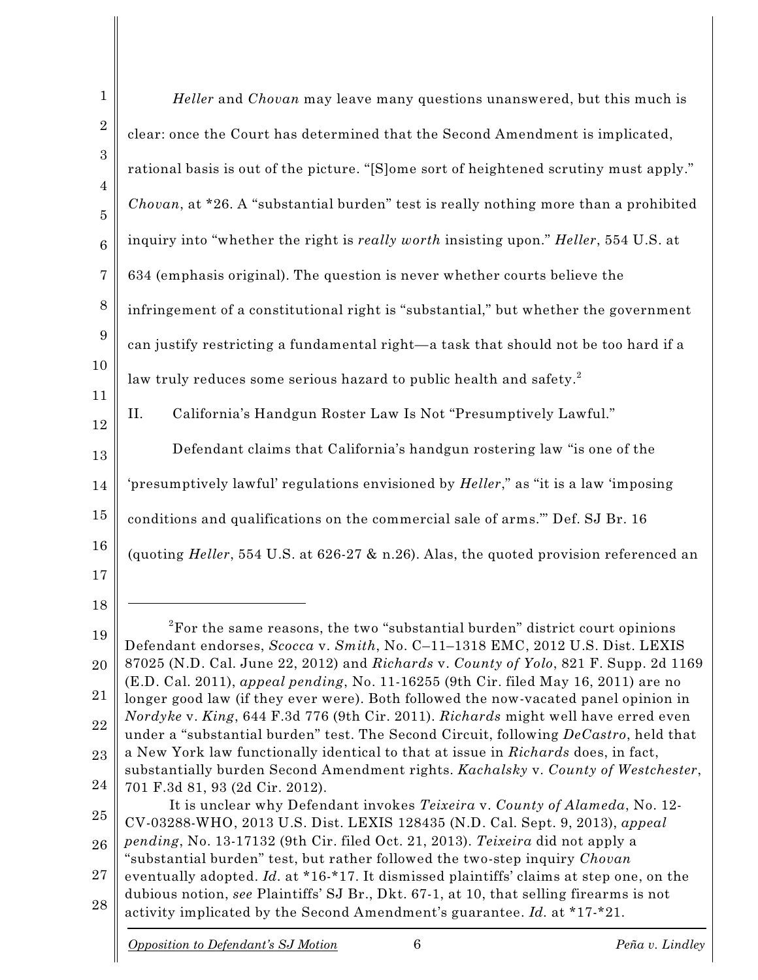| $\mathbf{1}$        | <i>Heller</i> and <i>Chovan</i> may leave many questions unanswered, but this much is                                                                                       |
|---------------------|-----------------------------------------------------------------------------------------------------------------------------------------------------------------------------|
| $\boldsymbol{2}$    | clear: once the Court has determined that the Second Amendment is implicated,                                                                                               |
| 3                   | rational basis is out of the picture. "[S]ome sort of heightened scrutiny must apply."                                                                                      |
| 4<br>$\overline{5}$ | Chovan, at *26. A "substantial burden" test is really nothing more than a prohibited                                                                                        |
| $\boldsymbol{6}$    | inquiry into "whether the right is <i>really worth</i> insisting upon." <i>Heller</i> , 554 U.S. at                                                                         |
| 7                   | 634 (emphasis original). The question is never whether courts believe the                                                                                                   |
| 8                   | infringement of a constitutional right is "substantial," but whether the government                                                                                         |
| 9                   | can justify restricting a fundamental right-a task that should not be too hard if a                                                                                         |
| 10                  | law truly reduces some serious hazard to public health and safety. <sup>2</sup>                                                                                             |
| 11<br>12            | Π.<br>California's Handgun Roster Law Is Not "Presumptively Lawful."                                                                                                        |
| 13                  | Defendant claims that California's handgun rostering law "is one of the                                                                                                     |
| 14                  | 'presumptively lawful' regulations envisioned by <i>Heller</i> ," as "it is a law 'imposing                                                                                 |
| 15                  | conditions and qualifications on the commercial sale of arms." Def. SJ Br. 16                                                                                               |
| 16                  | (quoting <i>Heller</i> , 554 U.S. at 626-27 & n.26). Alas, the quoted provision referenced an                                                                               |
| 17                  |                                                                                                                                                                             |
| 18                  | ${}^{2}$ For the same reasons, the two "substantial burden" district court opinions                                                                                         |
| 19                  | Defendant endorses, Scocca v. Smith, No. C-11-1318 EMC, 2012 U.S. Dist. LEXIS                                                                                               |
| 20                  | 87025 (N.D. Cal. June 22, 2012) and Richards v. County of Yolo, 821 F. Supp. 2d 1169<br>(E.D. Cal. 2011), appeal pending, No. 11-16255 (9th Cir. filed May 16, 2011) are no |
| 21                  | longer good law (if they ever were). Both followed the now-vacated panel opinion in<br>Nordyke v. King, 644 F.3d 776 (9th Cir. 2011). Richards might well have erred even   |
| 22<br>23            | under a "substantial burden" test. The Second Circuit, following DeCastro, held that<br>a New York law functionally identical to that at issue in Richards does, in fact,   |
| 24                  | substantially burden Second Amendment rights. Kachalsky v. County of Westchester,                                                                                           |
| 25                  | 701 F.3d 81, 93 (2d Cir. 2012).<br>It is unclear why Defendant invokes Teixeira v. County of Alameda, No. 12-                                                               |
| 26                  | CV-03288-WHO, 2013 U.S. Dist. LEXIS 128435 (N.D. Cal. Sept. 9, 2013), appeal<br>pending, No. 13-17132 (9th Cir. filed Oct. 21, 2013). Teixeira did not apply a              |
| 27                  | "substantial burden" test, but rather followed the two-step inquiry Chovan<br>eventually adopted. Id. at *16-*17. It dismissed plaintiffs' claims at step one, on the       |
| 28                  | dubious notion, see Plaintiffs' SJ Br., Dkt. 67-1, at 10, that selling firearms is not<br>activity implicated by the Second Amendment's guarantee. Id. at *17-*21.          |
|                     |                                                                                                                                                                             |

 $\begin{array}{c} \hline \end{array}$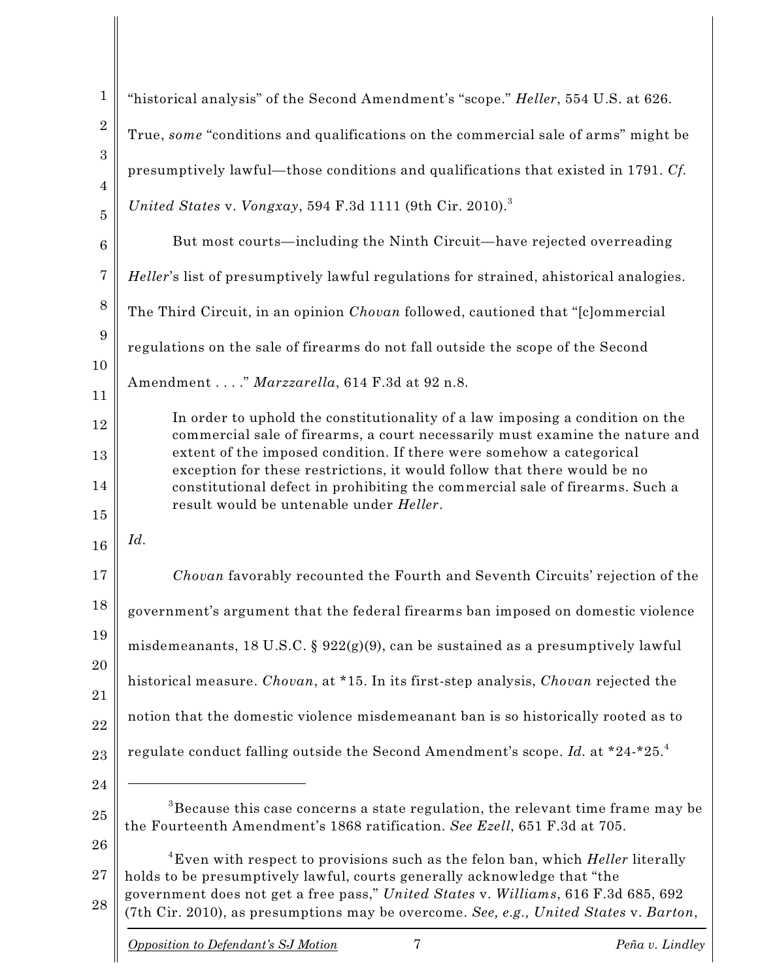| $\mathbf{1}$                     | "historical analysis" of the Second Amendment's "scope." Heller, 554 U.S. at 626.                                                                                              |
|----------------------------------|--------------------------------------------------------------------------------------------------------------------------------------------------------------------------------|
| $\overline{2}$                   | True, some "conditions and qualifications on the commercial sale of arms" might be                                                                                             |
| 3                                | presumptively lawful—those conditions and qualifications that existed in 1791. Cf.                                                                                             |
| $\overline{4}$<br>$\overline{5}$ | United States v. Vongxay, 594 F.3d 1111 (9th Cir. 2010). <sup>3</sup>                                                                                                          |
| $6\phantom{1}6$                  | But most courts—including the Ninth Circuit—have rejected overreading                                                                                                          |
| 7                                | Heller's list of presumptively lawful regulations for strained, ahistorical analogies.                                                                                         |
| 8                                | The Third Circuit, in an opinion Chovan followed, cautioned that "[c]ommercial                                                                                                 |
| 9                                | regulations on the sale of firearms do not fall outside the scope of the Second                                                                                                |
| 10                               | Amendment " Marzzarella, 614 F.3d at 92 n.8.                                                                                                                                   |
| 11                               | In order to uphold the constitutionality of a law imposing a condition on the                                                                                                  |
| 12                               | commercial sale of firearms, a court necessarily must examine the nature and<br>extent of the imposed condition. If there were somehow a categorical                           |
| 13<br>14                         | exception for these restrictions, it would follow that there would be no                                                                                                       |
| 15                               | constitutional defect in prohibiting the commercial sale of firearms. Such a<br>result would be untenable under Heller.                                                        |
| 16                               | Id.                                                                                                                                                                            |
| 17                               | Chovan favorably recounted the Fourth and Seventh Circuits' rejection of the                                                                                                   |
| 18                               | government's argument that the federal firearms ban imposed on domestic violence                                                                                               |
| 19                               | misdemeanants, 18 U.S.C. § 922(g)(9), can be sustained as a presumptively lawful                                                                                               |
| 20                               | historical measure. Chovan, at *15. In its first-step analysis, Chovan rejected the                                                                                            |
| 21                               | notion that the domestic violence misdemeanant ban is so historically rooted as to                                                                                             |
| 22<br>23                         | regulate conduct falling outside the Second Amendment's scope. Id. at *24-*25.4                                                                                                |
| 24                               |                                                                                                                                                                                |
| 25                               | ${}^{3}$ Because this case concerns a state regulation, the relevant time frame may be                                                                                         |
| 26                               | the Fourteenth Amendment's 1868 ratification. See Ezell, 651 F.3d at 705.<br><sup>4</sup> Even with respect to provisions such as the felon ban, which <i>Heller</i> literally |
| 27                               | holds to be presumptively lawful, courts generally acknowledge that "the                                                                                                       |
| 28                               | government does not get a free pass," United States v. Williams, 616 F.3d 685, 692<br>(7th Cir. 2010), as presumptions may be overcome. See, e.g., United States v. Barton,    |
|                                  | 7<br>Opposition to Defendant's SJ Motion<br>Peña v. Lindley                                                                                                                    |
|                                  |                                                                                                                                                                                |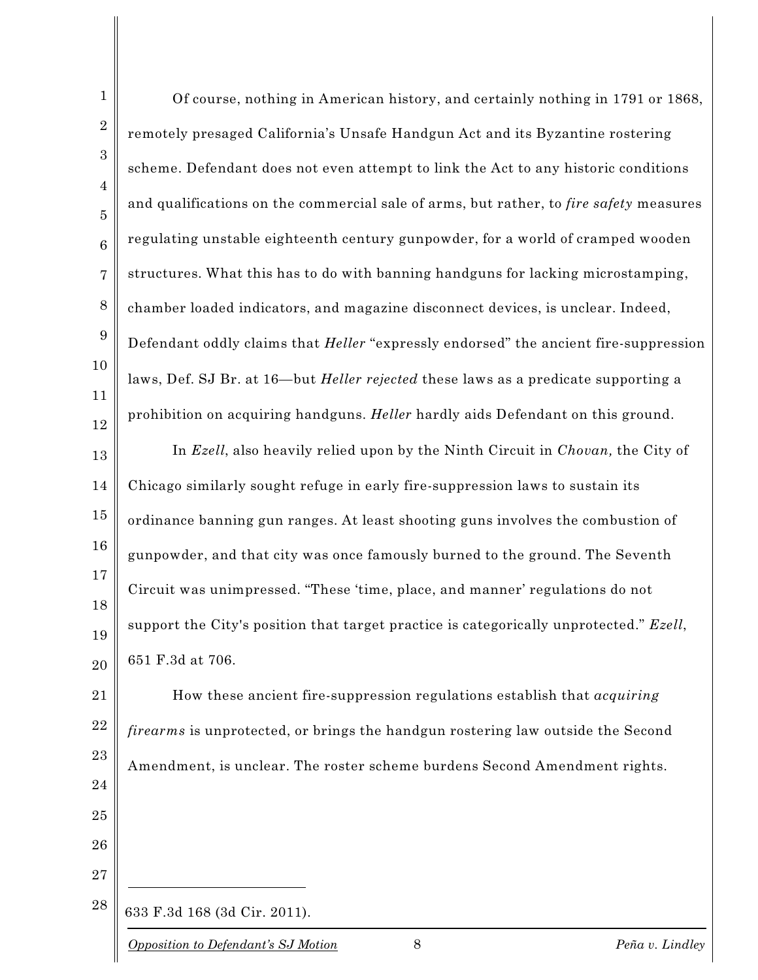| $\mathbf{1}$                     | Of course, nothing in American history, and certainly nothing in 1791 or 1868,              |
|----------------------------------|---------------------------------------------------------------------------------------------|
| $\boldsymbol{2}$                 | remotely presaged California's Unsafe Handgun Act and its Byzantine rostering               |
| 3                                | scheme. Defendant does not even attempt to link the Act to any historic conditions          |
| $\overline{4}$<br>$\overline{5}$ | and qualifications on the commercial sale of arms, but rather, to fire safety measures      |
| $\,6$                            | regulating unstable eighteenth century gunpowder, for a world of cramped wooden             |
| $\overline{7}$                   | structures. What this has to do with banning handguns for lacking microstamping,            |
| $8\,$                            | chamber loaded indicators, and magazine disconnect devices, is unclear. Indeed,             |
| $\boldsymbol{9}$                 | Defendant oddly claims that <i>Heller</i> "expressly endorsed" the ancient fire-suppression |
| 10                               | laws, Def. SJ Br. at 16—but <i>Heller rejected</i> these laws as a predicate supporting a   |
| 11<br>12                         | prohibition on acquiring handguns. Heller hardly aids Defendant on this ground.             |
| 13                               | In Ezell, also heavily relied upon by the Ninth Circuit in Chovan, the City of              |
| 14                               | Chicago similarly sought refuge in early fire-suppression laws to sustain its               |
| 15                               | ordinance banning gun ranges. At least shooting guns involves the combustion of             |
| 16                               | gunpowder, and that city was once famously burned to the ground. The Seventh                |
| 17                               | Circuit was unimpressed. "These 'time, place, and manner' regulations do not                |
| 18<br>19                         | support the City's position that target practice is categorically unprotected." Ezell,      |
| 20                               | 651 F.3d at 706.                                                                            |
| 21                               | How these ancient fire-suppression regulations establish that <i>acquiring</i>              |
| 22                               | firearms is unprotected, or brings the handgun rostering law outside the Second             |
| 23                               | Amendment, is unclear. The roster scheme burdens Second Amendment rights.                   |
| 24                               |                                                                                             |
| 25<br>26                         |                                                                                             |
| 27                               |                                                                                             |
| 28                               | 633 F.3d 168 (3d Cir. 2011).                                                                |
|                                  |                                                                                             |

 $\mathcal{L}^{\text{max}}_{\text{max}}$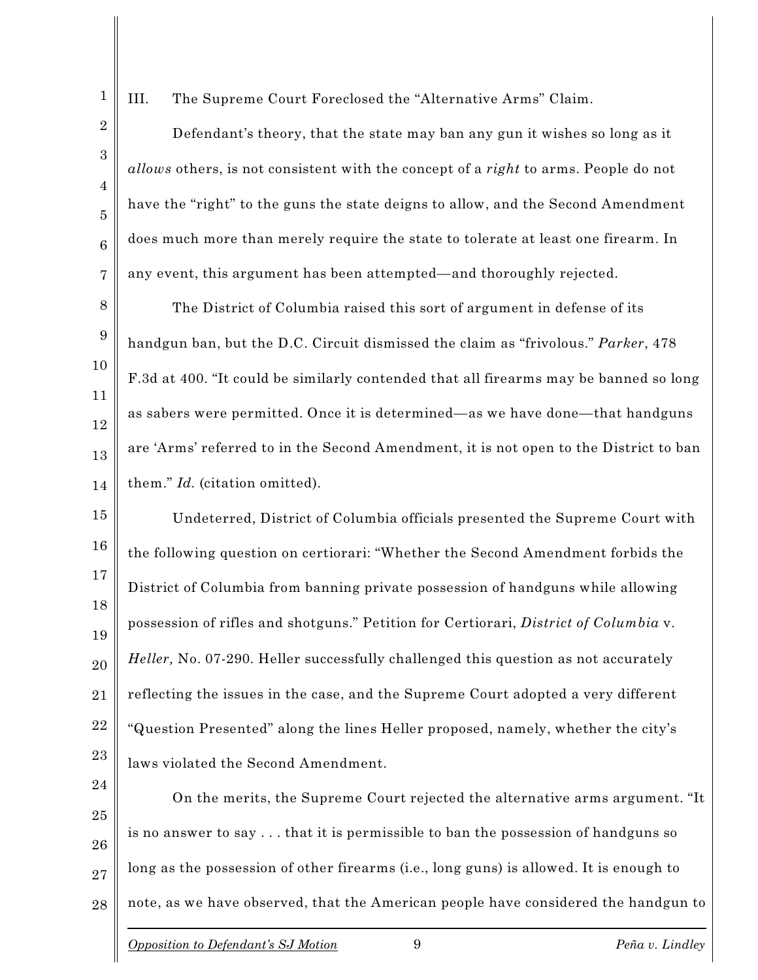III. The Supreme Court Foreclosed the "Alternative Arms" Claim.

1

2

3

4

5

6

7

Defendant's theory, that the state may ban any gun it wishes so long as it *allows* others, is not consistent with the concept of a *right* to arms. People do not have the "right" to the guns the state deigns to allow, and the Second Amendment does much more than merely require the state to tolerate at least one firearm. In any event, this argument has been attempted—and thoroughly rejected.

8 9 10 11 12 13 14 The District of Columbia raised this sort of argument in defense of its handgun ban, but the D.C. Circuit dismissed the claim as "frivolous." *Parker*, 478 F.3d at 400. "It could be similarly contended that all firearms may be banned so long as sabers were permitted. Once it is determined—as we have done—that handguns are 'Arms' referred to in the Second Amendment, it is not open to the District to ban them." *Id.* (citation omitted).

15 16 17 18 19 20 21 22 23 Undeterred, District of Columbia officials presented the Supreme Court with the following question on certiorari: "Whether the Second Amendment forbids the District of Columbia from banning private possession of handguns while allowing possession of rifles and shotguns." Petition for Certiorari, *District of Columbia* v. *Heller,* No. 07-290. Heller successfully challenged this question as not accurately reflecting the issues in the case, and the Supreme Court adopted a very different "Question Presented" along the lines Heller proposed, namely, whether the city's laws violated the Second Amendment.

24 25 26 27 28 On the merits, the Supreme Court rejected the alternative arms argument. "It is no answer to say . . . that it is permissible to ban the possession of handguns so long as the possession of other firearms (i.e., long guns) is allowed. It is enough to note, as we have observed, that the American people have considered the handgun to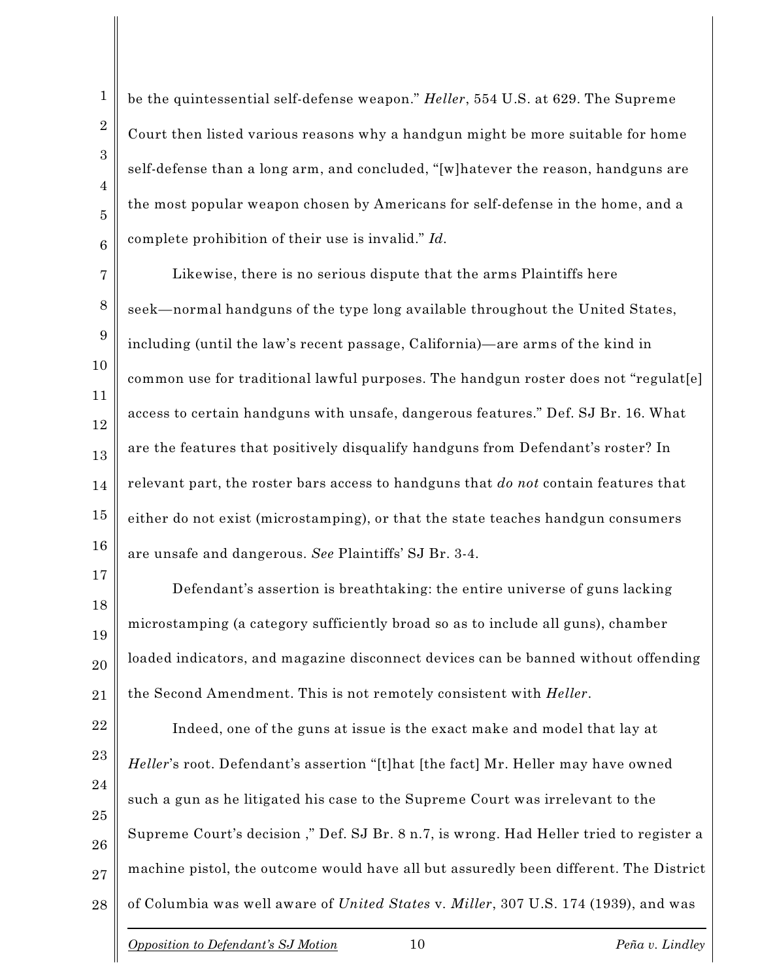be the quintessential self-defense weapon." *Heller*, 554 U.S. at 629. The Supreme Court then listed various reasons why a handgun might be more suitable for home self-defense than a long arm, and concluded, "[w]hatever the reason, handguns are the most popular weapon chosen by Americans for self-defense in the home, and a complete prohibition of their use is invalid." *Id.*

7 8 9 Likewise, there is no serious dispute that the arms Plaintiffs here seek—normal handguns of the type long available throughout the United States, including (until the law's recent passage, California)—are arms of the kind in common use for traditional lawful purposes. The handgun roster does not "regulat[e] access to certain handguns with unsafe, dangerous features." Def. SJ Br. 16. What are the features that positively disqualify handguns from Defendant's roster? In relevant part, the roster bars access to handguns that *do not* contain features that either do not exist (microstamping), or that the state teaches handgun consumers are unsafe and dangerous. *See* Plaintiffs' SJ Br. 3-4.

Defendant's assertion is breathtaking: the entire universe of guns lacking microstamping (a category sufficiently broad so as to include all guns), chamber loaded indicators, and magazine disconnect devices can be banned without offending the Second Amendment. This is not remotely consistent with *Heller*.

22 23 24 25 26 27 28 Indeed, one of the guns at issue is the exact make and model that lay at *Heller*'s root. Defendant's assertion "[t]hat [the fact] Mr. Heller may have owned such a gun as he litigated his case to the Supreme Court was irrelevant to the Supreme Court's decision ," Def. SJ Br. 8 n.7, is wrong. Had Heller tried to register a machine pistol, the outcome would have all but assuredly been different. The District of Columbia was well aware of *United States* v*. Miller*, 307 U.S. 174 (1939), and was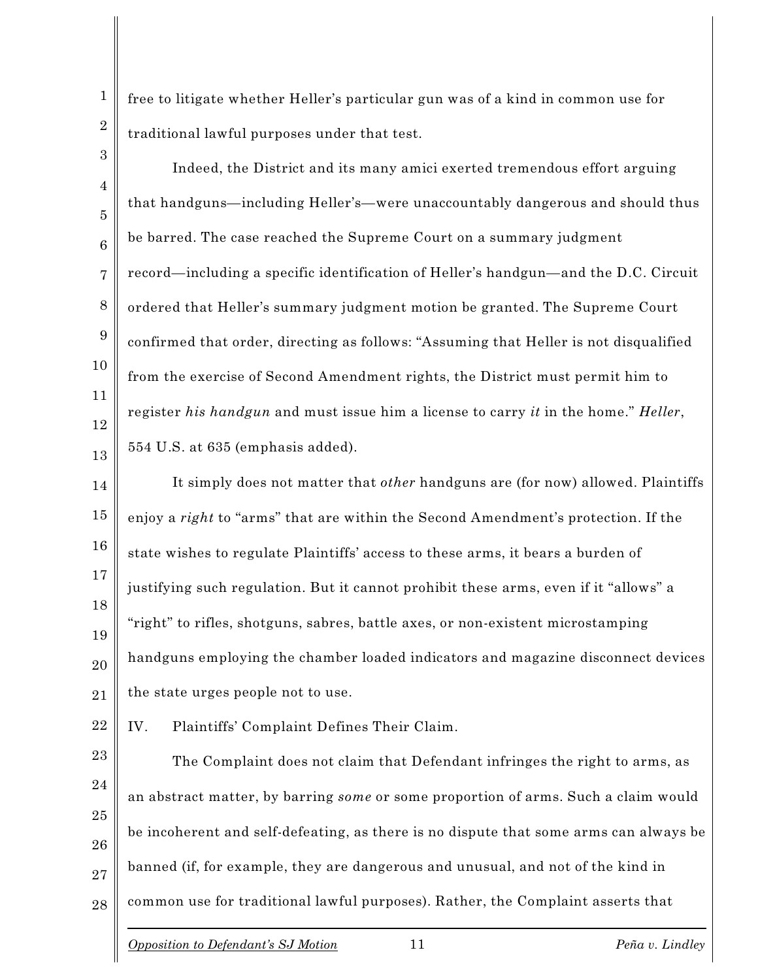free to litigate whether Heller's particular gun was of a kind in common use for traditional lawful purposes under that test.

Indeed, the District and its many amici exerted tremendous effort arguing that handguns—including Heller's—were unaccountably dangerous and should thus be barred. The case reached the Supreme Court on a summary judgment record—including a specific identification of Heller's handgun—and the D.C. Circuit ordered that Heller's summary judgment motion be granted. The Supreme Court confirmed that order, directing as follows: "Assuming that Heller is not disqualified from the exercise of Second Amendment rights, the District must permit him to register *his handgun* and must issue him a license to carry *it* in the home." *Heller*, 554 U.S. at 635 (emphasis added).

14 15 16 17 18 19 20 21 It simply does not matter that *other* handguns are (for now) allowed. Plaintiffs enjoy a *right* to "arms" that are within the Second Amendment's protection. If the state wishes to regulate Plaintiffs' access to these arms, it bears a burden of justifying such regulation. But it cannot prohibit these arms, even if it "allows" a "right" to rifles, shotguns, sabres, battle axes, or non-existent microstamping handguns employing the chamber loaded indicators and magazine disconnect devices the state urges people not to use.

22 IV. Plaintiffs' Complaint Defines Their Claim.

23 24 25 26 27 28 The Complaint does not claim that Defendant infringes the right to arms, as an abstract matter, by barring *some* or some proportion of arms. Such a claim would be incoherent and self-defeating, as there is no dispute that some arms can always be banned (if, for example, they are dangerous and unusual, and not of the kind in common use for traditional lawful purposes). Rather, the Complaint asserts that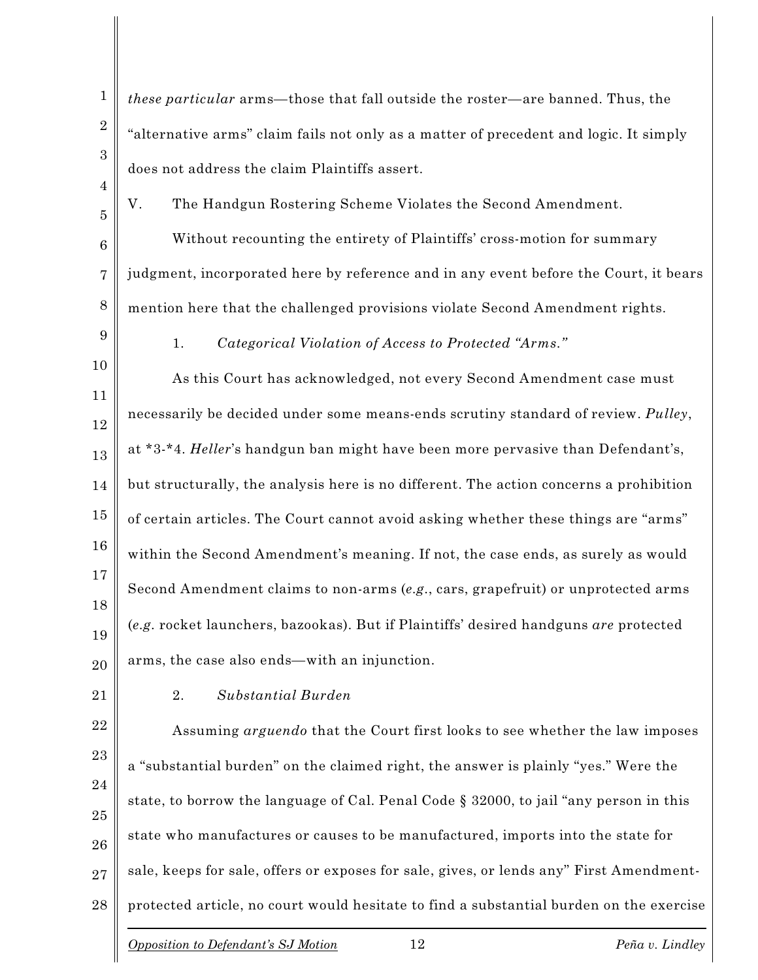27 28 "alternative arms" claim fails not only as a matter of precedent and logic. It simply does not address the claim Plaintiffs assert. V. The Handgun Rostering Scheme Violates the Second Amendment. Without recounting the entirety of Plaintiffs' cross-motion for summary judgment, incorporated here by reference and in any event before the Court, it bears mention here that the challenged provisions violate Second Amendment rights. 1. *Categorical Violation of Access to Protected "Arms."* As this Court has acknowledged, not every Second Amendment case must necessarily be decided under some means-ends scrutiny standard of review. *Pulley*, at \*3-\*4. *Heller*'s handgun ban might have been more pervasive than Defendant's, but structurally, the analysis here is no different. The action concerns a prohibition of certain articles. The Court cannot avoid asking whether these things are "arms" within the Second Amendment's meaning. If not, the case ends, as surely as would Second Amendment claims to non-arms (*e.g.*, cars, grapefruit) or unprotected arms (*e.g.* rocket launchers, bazookas). But if Plaintiffs' desired handguns *are* protected arms, the case also ends—with an injunction. 2. *Substantial Burden* Assuming *arguendo* that the Court first looks to see whether the law imposes a "substantial burden" on the claimed right, the answer is plainly "yes." Were the state, to borrow the language of Cal. Penal Code § 32000, to jail "any person in this state who manufactures or causes to be manufactured, imports into the state for sale, keeps for sale, offers or exposes for sale, gives, or lends any" First Amendmentprotected article, no court would hesitate to find a substantial burden on the exercise *Opposition to Defendant's SJ Motion* 12 *Peña v. Lindley*

*these particular* arms—those that fall outside the roster—are banned. Thus, the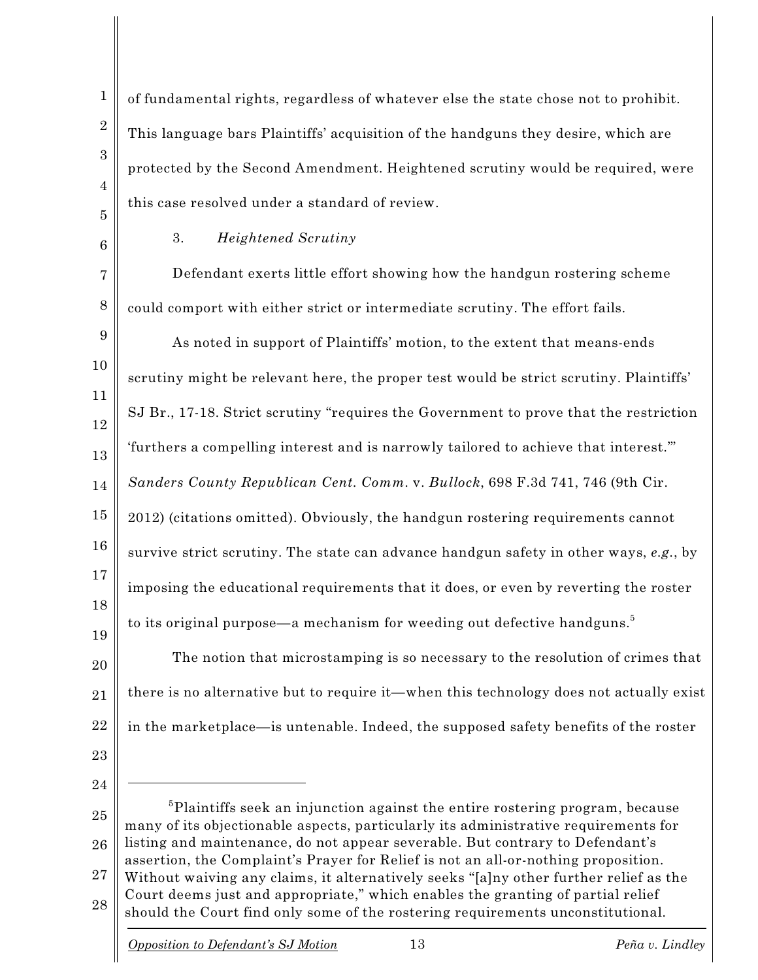of fundamental rights, regardless of whatever else the state chose not to prohibit. This language bars Plaintiffs' acquisition of the handguns they desire, which are protected by the Second Amendment. Heightened scrutiny would be required, were this case resolved under a standard of review.

5 6

7

1

2

3

4

3. *Heightened Scrutiny*

8 Defendant exerts little effort showing how the handgun rostering scheme could comport with either strict or intermediate scrutiny. The effort fails.

9 10 11 12 13 14 15 16 17 18 As noted in support of Plaintiffs' motion, to the extent that means-ends scrutiny might be relevant here, the proper test would be strict scrutiny. Plaintiffs' SJ Br., 17-18. Strict scrutiny "requires the Government to prove that the restriction 'furthers a compelling interest and is narrowly tailored to achieve that interest.'" *Sanders County Republican Cent. Comm.* v. *Bullock*, 698 F.3d 741, 746 (9th Cir. 2012) (citations omitted). Obviously, the handgun rostering requirements cannot survive strict scrutiny. The state can advance handgun safety in other ways, *e.g.*, by imposing the educational requirements that it does, or even by reverting the roster to its original purpose—a mechanism for weeding out defective handguns. $^5$ 

20 21 22 The notion that microstamping is so necessary to the resolution of crimes that there is no alternative but to require it—when this technology does not actually exist in the marketplace—is untenable. Indeed, the supposed safety benefits of the roster

23

19

24

25 26 27 28  $5$ Plaintiffs seek an injunction against the entire rostering program, because many of its objectionable aspects, particularly its administrative requirements for listing and maintenance, do not appear severable. But contrary to Defendant's assertion, the Complaint's Prayer for Relief is not an all-or-nothing proposition. Without waiving any claims, it alternatively seeks "[a]ny other further relief as the Court deems just and appropriate," which enables the granting of partial relief should the Court find only some of the rostering requirements unconstitutional.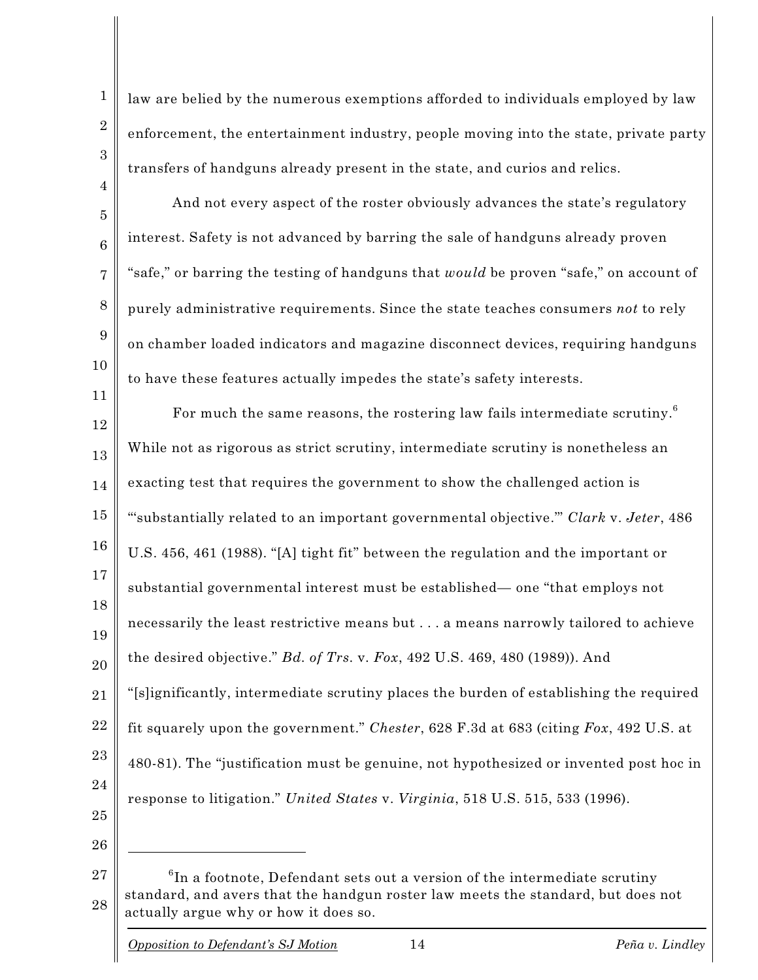law are belied by the numerous exemptions afforded to individuals employed by law enforcement, the entertainment industry, people moving into the state, private party transfers of handguns already present in the state, and curios and relics.

And not every aspect of the roster obviously advances the state's regulatory interest. Safety is not advanced by barring the sale of handguns already proven "safe," or barring the testing of handguns that *would* be proven "safe," on account of purely administrative requirements. Since the state teaches consumers *not* to rely on chamber loaded indicators and magazine disconnect devices, requiring handguns to have these features actually impedes the state's safety interests.

12 13 14 15 16 17 18 19 20 21 22 23 24 25 26 For much the same reasons, the rostering law fails intermediate scrutiny.<sup>6</sup> While not as rigorous as strict scrutiny, intermediate scrutiny is nonetheless an exacting test that requires the government to show the challenged action is "'substantially related to an important governmental objective.'" *Clark* v. *Jeter*, 486 U.S. 456, 461 (1988). "[A] tight fit" between the regulation and the important or substantial governmental interest must be established— one "that employs not necessarily the least restrictive means but . . . a means narrowly tailored to achieve the desired objective." *Bd. of Trs.* v*. Fox*, 492 U.S. 469, 480 (1989)). And "[s]ignificantly, intermediate scrutiny places the burden of establishing the required fit squarely upon the government." *Chester*, 628 F.3d at 683 (citing *Fox*, 492 U.S. at 480-81). The "justification must be genuine, not hypothesized or invented post hoc in response to litigation." *United States* v. *Virginia*, 518 U.S. 515, 533 (1996).

27 28  $^6{\rm In}$  a footnote, Defendant sets out a version of the intermediate scrutiny standard, and avers that the handgun roster law meets the standard, but does not actually argue why or how it does so.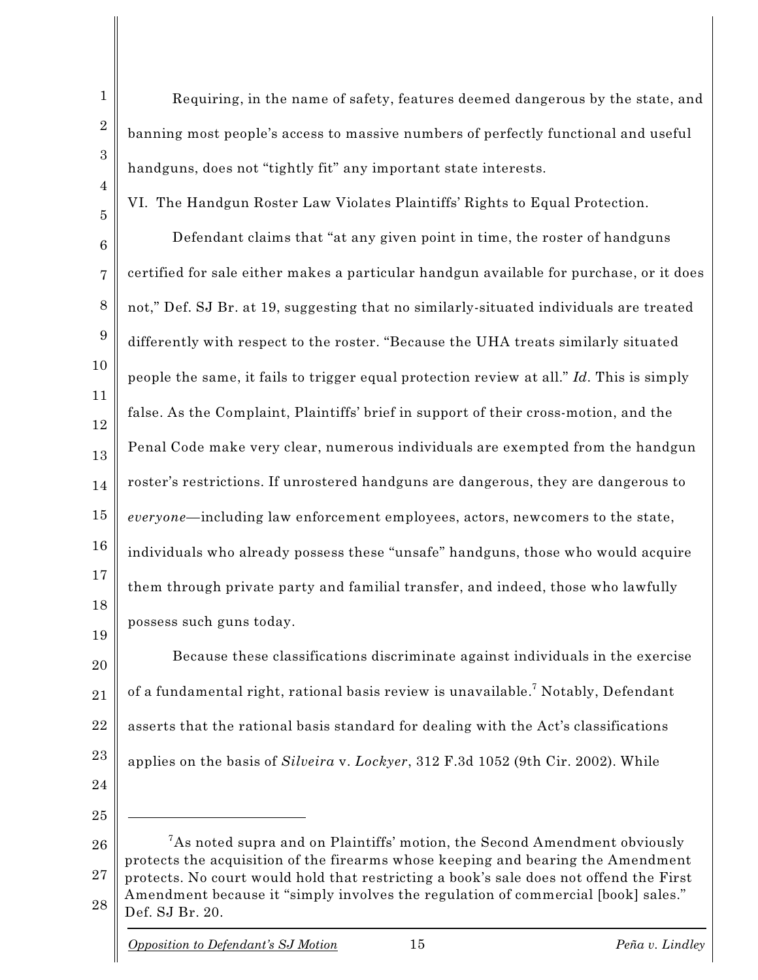Requiring, in the name of safety, features deemed dangerous by the state, and banning most people's access to massive numbers of perfectly functional and useful handguns, does not "tightly fit" any important state interests.

VI. The Handgun Roster Law Violates Plaintiffs' Rights to Equal Protection.

6 7 8 9 Defendant claims that "at any given point in time, the roster of handguns certified for sale either makes a particular handgun available for purchase, or it does not," Def. SJ Br. at 19, suggesting that no similarly-situated individuals are treated differently with respect to the roster. "Because the UHA treats similarly situated people the same, it fails to trigger equal protection review at all." *Id.* This is simply false. As the Complaint, Plaintiffs' brief in support of their cross-motion, and the Penal Code make very clear, numerous individuals are exempted from the handgun roster's restrictions. If unrostered handguns are dangerous, they are dangerous to *everyone*—including law enforcement employees, actors, newcomers to the state, individuals who already possess these "unsafe" handguns, those who would acquire them through private party and familial transfer, and indeed, those who lawfully possess such guns today.

Because these classifications discriminate against individuals in the exercise of a fundamental right, rational basis review is unavailable. $^7$  Notably, Defendant asserts that the rational basis standard for dealing with the Act's classifications applies on the basis of *Silveira* v. *Lockyer*, 312 F.3d 1052 (9th Cir. 2002). While

<sup>25</sup>

<sup>26</sup> 27 28  $\mathrm{^{7}As}$  noted supra and on Plaintiffs' motion, the Second Amendment obviously protects the acquisition of the firearms whose keeping and bearing the Amendment protects. No court would hold that restricting a book's sale does not offend the First Amendment because it "simply involves the regulation of commercial [book] sales." Def. SJ Br. 20.